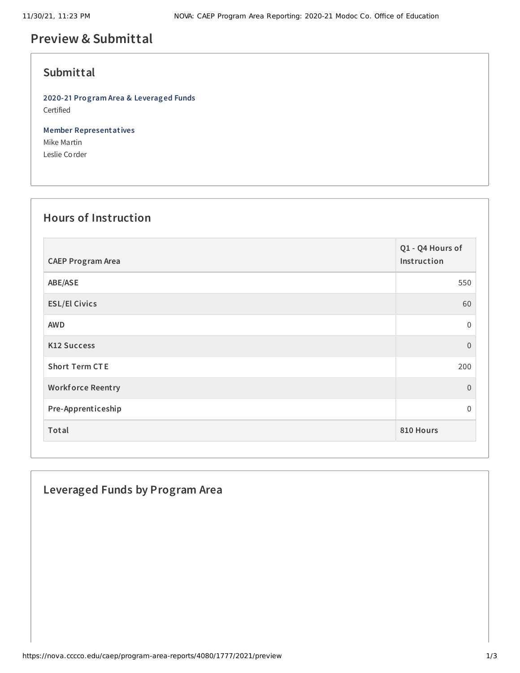# **Preview & Submittal**

### **Submittal**

**2020-21 Program Area & Leveraged Funds** Certified

**Member Representatives** Mike Martin Leslie Corder

#### **Hours of Instruction**

| <b>CAEP Program Area</b> | Q1 - Q4 Hours of<br>Instruction |
|--------------------------|---------------------------------|
| ABE/ASE                  | 550                             |
| <b>ESL/El Civics</b>     | 60                              |
| <b>AWD</b>               | $\boldsymbol{0}$                |
| <b>K12 Success</b>       | $\mathbf{0}$                    |
| <b>Short Term CTE</b>    | 200                             |
| <b>Workforce Reentry</b> | $\mathbf{0}$                    |
| Pre-Apprenticeship       | $\mathbf 0$                     |
| Total                    | 810 Hours                       |

### **Leveraged Funds by Program Area**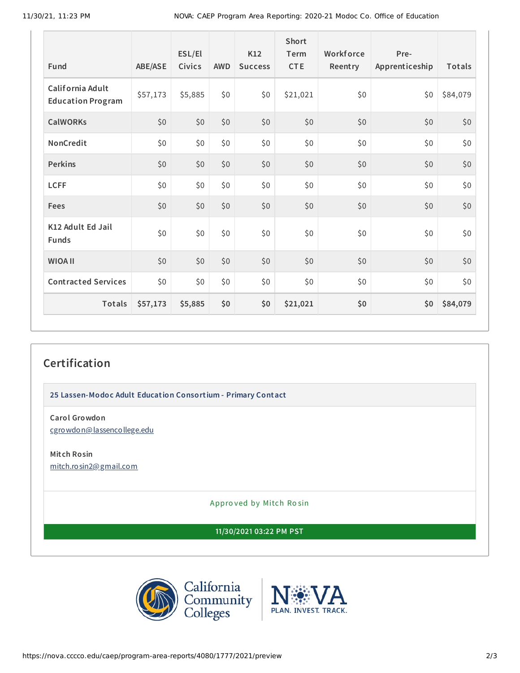| <b>Fund</b>                                  | ABE/ASE  | ESL/El<br>Civics | <b>AWD</b> | K12<br><b>Success</b> | Short<br>Term<br><b>CTE</b> | Workforce<br>Reentry | Pre-<br>Apprenticeship | Totals   |
|----------------------------------------------|----------|------------------|------------|-----------------------|-----------------------------|----------------------|------------------------|----------|
| California Adult<br><b>Education Program</b> | \$57,173 | \$5,885          | \$0        | \$0                   | \$21,021                    | \$0                  | \$0                    | \$84,079 |
| <b>CalWORKs</b>                              | \$0      | \$0              | \$0        | \$0                   | \$0                         | \$0                  | \$0                    | \$0      |
| NonCredit                                    | \$0      | \$0              | \$0        | \$0                   | \$0                         | \$0                  | \$0                    | \$0      |
| <b>Perkins</b>                               | \$0      | \$0              | \$0        | \$0                   | \$0                         | \$0                  | \$0                    | \$0      |
| <b>LCFF</b>                                  | \$0      | \$0              | \$0\$      | \$0                   | \$0                         | \$0                  | \$0                    | \$0      |
| <b>Fees</b>                                  | \$0      | \$0              | \$0        | \$0                   | \$0                         | \$0                  | \$0                    | \$0      |
| K12 Adult Ed Jail<br><b>Funds</b>            | \$0      | \$0              | \$0        | \$0                   | \$0                         | \$0\$                | \$0                    | \$0      |
| <b>WIOA II</b>                               | \$0      | \$0              | \$0        | \$0                   | \$0                         | \$0                  | \$0                    | \$0      |
| <b>Contracted Services</b>                   | \$0      | \$0              | \$0        | \$0                   | \$0                         | \$0                  | \$0                    | \$0      |
| Totals                                       | \$57,173 | \$5,885          | \$0        | \$0                   | \$21,021                    | \$0                  | \$0                    | \$84,079 |

## **Certification**

**25 Lassen-Modoc Adult Education Consortium - Primary Contact**

**Carol Growdon** [cgrowdon@lassencollege.edu](mailto:cgrowdon@lassencollege.edu)

**Mitch Rosin** [mitch.rosin2@gmail.com](mailto:mitch.rosin2@gmail.com)

Appro ved by Mitch Ro sin

**11/30/2021 03:22 PM PST**